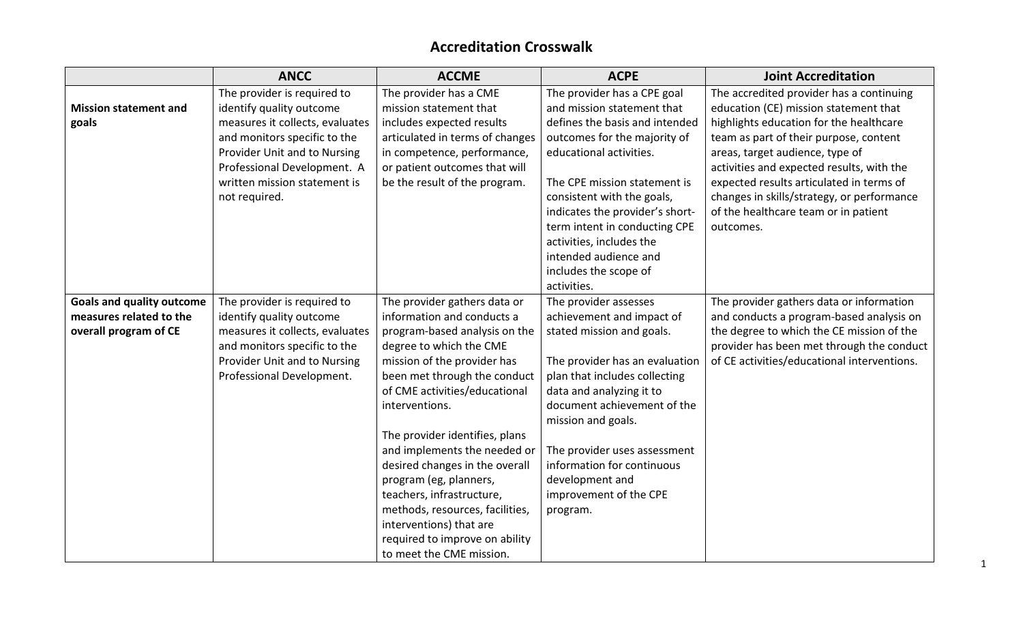## **Accreditation Crosswalk**

|                                  | <b>ANCC</b>                     | <b>ACCME</b>                    | <b>ACPE</b>                     | <b>Joint Accreditation</b>                  |
|----------------------------------|---------------------------------|---------------------------------|---------------------------------|---------------------------------------------|
|                                  | The provider is required to     | The provider has a CME          | The provider has a CPE goal     | The accredited provider has a continuing    |
| <b>Mission statement and</b>     | identify quality outcome        | mission statement that          | and mission statement that      | education (CE) mission statement that       |
| goals                            | measures it collects, evaluates | includes expected results       | defines the basis and intended  | highlights education for the healthcare     |
|                                  | and monitors specific to the    | articulated in terms of changes | outcomes for the majority of    | team as part of their purpose, content      |
|                                  | Provider Unit and to Nursing    | in competence, performance,     | educational activities.         | areas, target audience, type of             |
|                                  | Professional Development. A     | or patient outcomes that will   |                                 | activities and expected results, with the   |
|                                  | written mission statement is    | be the result of the program.   | The CPE mission statement is    | expected results articulated in terms of    |
|                                  | not required.                   |                                 | consistent with the goals,      | changes in skills/strategy, or performance  |
|                                  |                                 |                                 | indicates the provider's short- | of the healthcare team or in patient        |
|                                  |                                 |                                 | term intent in conducting CPE   | outcomes.                                   |
|                                  |                                 |                                 | activities, includes the        |                                             |
|                                  |                                 |                                 | intended audience and           |                                             |
|                                  |                                 |                                 | includes the scope of           |                                             |
|                                  |                                 |                                 | activities.                     |                                             |
| <b>Goals and quality outcome</b> | The provider is required to     | The provider gathers data or    | The provider assesses           | The provider gathers data or information    |
| measures related to the          | identify quality outcome        | information and conducts a      | achievement and impact of       | and conducts a program-based analysis on    |
| overall program of CE            | measures it collects, evaluates | program-based analysis on the   | stated mission and goals.       | the degree to which the CE mission of the   |
|                                  | and monitors specific to the    | degree to which the CME         |                                 | provider has been met through the conduct   |
|                                  | Provider Unit and to Nursing    | mission of the provider has     | The provider has an evaluation  | of CE activities/educational interventions. |
|                                  | Professional Development.       | been met through the conduct    | plan that includes collecting   |                                             |
|                                  |                                 | of CME activities/educational   | data and analyzing it to        |                                             |
|                                  |                                 | interventions.                  | document achievement of the     |                                             |
|                                  |                                 |                                 | mission and goals.              |                                             |
|                                  |                                 | The provider identifies, plans  |                                 |                                             |
|                                  |                                 | and implements the needed or    | The provider uses assessment    |                                             |
|                                  |                                 | desired changes in the overall  | information for continuous      |                                             |
|                                  |                                 | program (eg, planners,          | development and                 |                                             |
|                                  |                                 | teachers, infrastructure,       | improvement of the CPE          |                                             |
|                                  |                                 | methods, resources, facilities, | program.                        |                                             |
|                                  |                                 | interventions) that are         |                                 |                                             |
|                                  |                                 | required to improve on ability  |                                 |                                             |
|                                  |                                 | to meet the CME mission.        |                                 |                                             |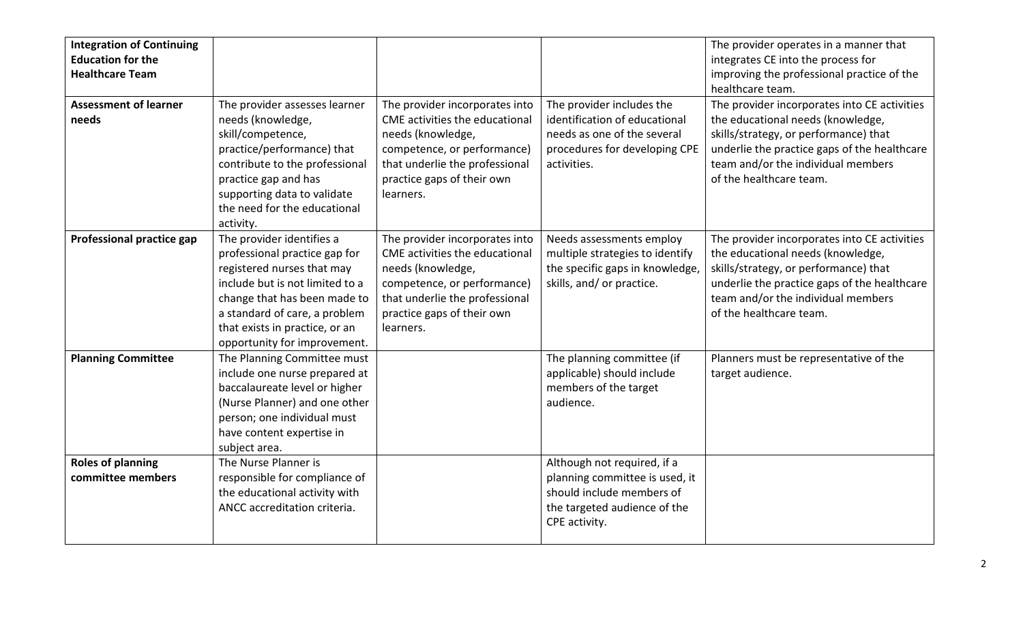| <b>Integration of Continuing</b><br><b>Education for the</b><br><b>Healthcare Team</b><br><b>Assessment of learner</b> | The provider assesses learner                                 | The provider incorporates into | The provider includes the                                   | The provider operates in a manner that<br>integrates CE into the process for<br>improving the professional practice of the<br>healthcare team.<br>The provider incorporates into CE activities |
|------------------------------------------------------------------------------------------------------------------------|---------------------------------------------------------------|--------------------------------|-------------------------------------------------------------|------------------------------------------------------------------------------------------------------------------------------------------------------------------------------------------------|
| needs                                                                                                                  | needs (knowledge,                                             | CME activities the educational | identification of educational                               | the educational needs (knowledge,                                                                                                                                                              |
|                                                                                                                        | skill/competence,                                             | needs (knowledge,              | needs as one of the several                                 | skills/strategy, or performance) that                                                                                                                                                          |
|                                                                                                                        | practice/performance) that                                    | competence, or performance)    | procedures for developing CPE                               | underlie the practice gaps of the healthcare                                                                                                                                                   |
|                                                                                                                        | contribute to the professional                                | that underlie the professional | activities.                                                 | team and/or the individual members                                                                                                                                                             |
|                                                                                                                        | practice gap and has                                          | practice gaps of their own     |                                                             | of the healthcare team.                                                                                                                                                                        |
|                                                                                                                        | supporting data to validate                                   | learners.                      |                                                             |                                                                                                                                                                                                |
|                                                                                                                        | the need for the educational                                  |                                |                                                             |                                                                                                                                                                                                |
|                                                                                                                        | activity.                                                     |                                |                                                             |                                                                                                                                                                                                |
| <b>Professional practice gap</b>                                                                                       | The provider identifies a                                     | The provider incorporates into | Needs assessments employ                                    | The provider incorporates into CE activities                                                                                                                                                   |
|                                                                                                                        | professional practice gap for                                 | CME activities the educational | multiple strategies to identify                             | the educational needs (knowledge,                                                                                                                                                              |
|                                                                                                                        | registered nurses that may                                    | needs (knowledge,              | the specific gaps in knowledge,                             | skills/strategy, or performance) that                                                                                                                                                          |
|                                                                                                                        | include but is not limited to a                               | competence, or performance)    | skills, and/ or practice.                                   | underlie the practice gaps of the healthcare                                                                                                                                                   |
|                                                                                                                        | change that has been made to                                  | that underlie the professional |                                                             | team and/or the individual members                                                                                                                                                             |
|                                                                                                                        | a standard of care, a problem                                 | practice gaps of their own     |                                                             | of the healthcare team.                                                                                                                                                                        |
|                                                                                                                        | that exists in practice, or an                                | learners.                      |                                                             |                                                                                                                                                                                                |
|                                                                                                                        | opportunity for improvement.                                  |                                |                                                             |                                                                                                                                                                                                |
| <b>Planning Committee</b>                                                                                              | The Planning Committee must                                   |                                | The planning committee (if                                  | Planners must be representative of the                                                                                                                                                         |
|                                                                                                                        | include one nurse prepared at                                 |                                | applicable) should include                                  | target audience.                                                                                                                                                                               |
|                                                                                                                        | baccalaureate level or higher                                 |                                | members of the target                                       |                                                                                                                                                                                                |
|                                                                                                                        | (Nurse Planner) and one other                                 |                                | audience.                                                   |                                                                                                                                                                                                |
|                                                                                                                        | person; one individual must                                   |                                |                                                             |                                                                                                                                                                                                |
|                                                                                                                        | have content expertise in                                     |                                |                                                             |                                                                                                                                                                                                |
|                                                                                                                        | subject area.<br>The Nurse Planner is                         |                                |                                                             |                                                                                                                                                                                                |
| <b>Roles of planning</b>                                                                                               |                                                               |                                | Although not required, if a                                 |                                                                                                                                                                                                |
| committee members                                                                                                      | responsible for compliance of                                 |                                | planning committee is used, it<br>should include members of |                                                                                                                                                                                                |
|                                                                                                                        | the educational activity with<br>ANCC accreditation criteria. |                                |                                                             |                                                                                                                                                                                                |
|                                                                                                                        |                                                               |                                | the targeted audience of the<br>CPE activity.               |                                                                                                                                                                                                |
|                                                                                                                        |                                                               |                                |                                                             |                                                                                                                                                                                                |
|                                                                                                                        |                                                               |                                |                                                             |                                                                                                                                                                                                |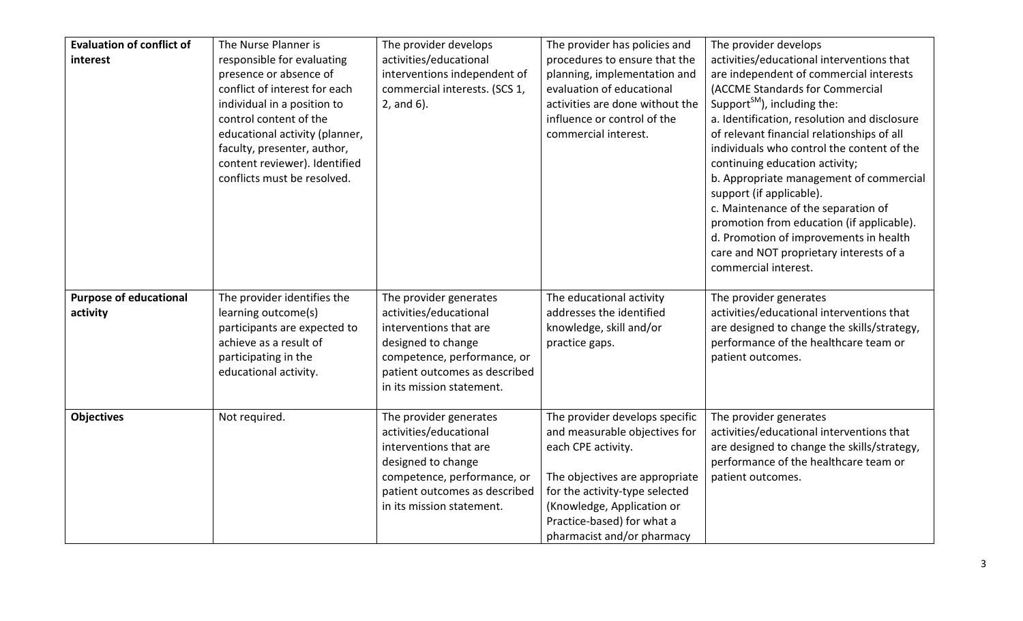| <b>Evaluation of conflict of</b><br>interest | The Nurse Planner is<br>responsible for evaluating<br>presence or absence of<br>conflict of interest for each<br>individual in a position to<br>control content of the<br>educational activity (planner,<br>faculty, presenter, author,<br>content reviewer). Identified<br>conflicts must be resolved. | The provider develops<br>activities/educational<br>interventions independent of<br>commercial interests. (SCS 1,<br>$2$ , and 6).                                                             | The provider has policies and<br>procedures to ensure that the<br>planning, implementation and<br>evaluation of educational<br>activities are done without the<br>influence or control of the<br>commercial interest.                               | The provider develops<br>activities/educational interventions that<br>are independent of commercial interests<br>(ACCME Standards for Commercial<br>Support <sup>SM</sup> ), including the:<br>a. Identification, resolution and disclosure<br>of relevant financial relationships of all<br>individuals who control the content of the<br>continuing education activity;<br>b. Appropriate management of commercial<br>support (if applicable).<br>c. Maintenance of the separation of<br>promotion from education (if applicable).<br>d. Promotion of improvements in health<br>care and NOT proprietary interests of a<br>commercial interest. |
|----------------------------------------------|---------------------------------------------------------------------------------------------------------------------------------------------------------------------------------------------------------------------------------------------------------------------------------------------------------|-----------------------------------------------------------------------------------------------------------------------------------------------------------------------------------------------|-----------------------------------------------------------------------------------------------------------------------------------------------------------------------------------------------------------------------------------------------------|---------------------------------------------------------------------------------------------------------------------------------------------------------------------------------------------------------------------------------------------------------------------------------------------------------------------------------------------------------------------------------------------------------------------------------------------------------------------------------------------------------------------------------------------------------------------------------------------------------------------------------------------------|
| <b>Purpose of educational</b><br>activity    | The provider identifies the<br>learning outcome(s)<br>participants are expected to<br>achieve as a result of<br>participating in the<br>educational activity.                                                                                                                                           | The provider generates<br>activities/educational<br>interventions that are<br>designed to change<br>competence, performance, or<br>patient outcomes as described<br>in its mission statement. | The educational activity<br>addresses the identified<br>knowledge, skill and/or<br>practice gaps.                                                                                                                                                   | The provider generates<br>activities/educational interventions that<br>are designed to change the skills/strategy,<br>performance of the healthcare team or<br>patient outcomes.                                                                                                                                                                                                                                                                                                                                                                                                                                                                  |
| <b>Objectives</b>                            | Not required.                                                                                                                                                                                                                                                                                           | The provider generates<br>activities/educational<br>interventions that are<br>designed to change<br>competence, performance, or<br>patient outcomes as described<br>in its mission statement. | The provider develops specific<br>and measurable objectives for<br>each CPE activity.<br>The objectives are appropriate<br>for the activity-type selected<br>(Knowledge, Application or<br>Practice-based) for what a<br>pharmacist and/or pharmacy | The provider generates<br>activities/educational interventions that<br>are designed to change the skills/strategy,<br>performance of the healthcare team or<br>patient outcomes.                                                                                                                                                                                                                                                                                                                                                                                                                                                                  |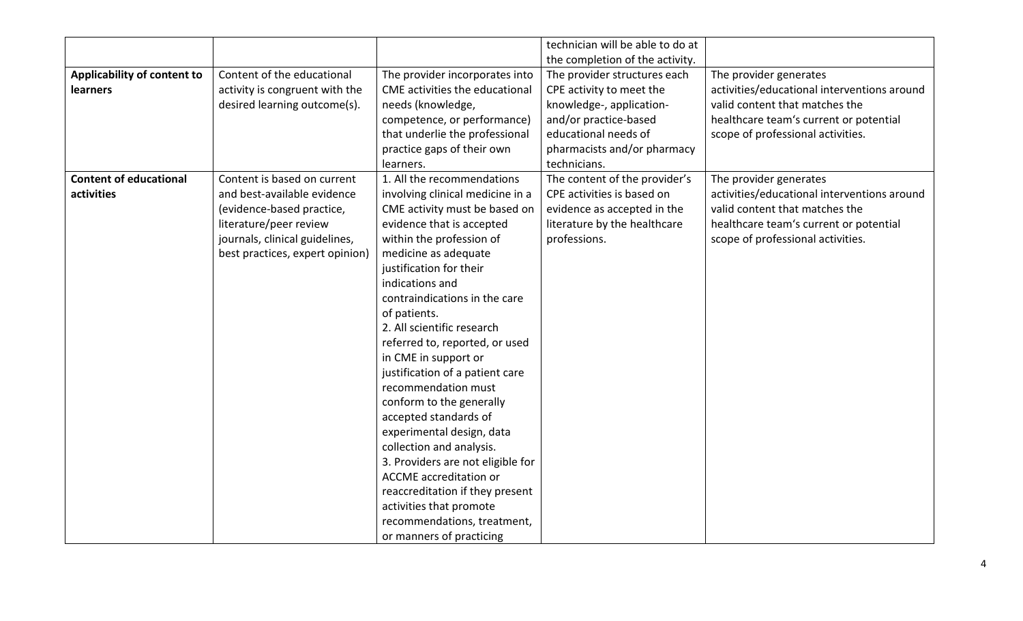|                               |                                 |                                   | technician will be able to do at |                                             |
|-------------------------------|---------------------------------|-----------------------------------|----------------------------------|---------------------------------------------|
|                               |                                 |                                   | the completion of the activity.  |                                             |
| Applicability of content to   | Content of the educational      | The provider incorporates into    | The provider structures each     | The provider generates                      |
| <b>learners</b>               | activity is congruent with the  | CME activities the educational    | CPE activity to meet the         | activities/educational interventions around |
|                               | desired learning outcome(s).    | needs (knowledge,                 | knowledge-, application-         | valid content that matches the              |
|                               |                                 | competence, or performance)       | and/or practice-based            | healthcare team's current or potential      |
|                               |                                 | that underlie the professional    | educational needs of             | scope of professional activities.           |
|                               |                                 | practice gaps of their own        | pharmacists and/or pharmacy      |                                             |
|                               |                                 | learners.                         | technicians.                     |                                             |
| <b>Content of educational</b> | Content is based on current     | 1. All the recommendations        | The content of the provider's    | The provider generates                      |
| activities                    | and best-available evidence     | involving clinical medicine in a  | CPE activities is based on       | activities/educational interventions around |
|                               | (evidence-based practice,       | CME activity must be based on     | evidence as accepted in the      | valid content that matches the              |
|                               | literature/peer review          | evidence that is accepted         | literature by the healthcare     | healthcare team's current or potential      |
|                               | journals, clinical guidelines,  | within the profession of          | professions.                     | scope of professional activities.           |
|                               | best practices, expert opinion) | medicine as adequate              |                                  |                                             |
|                               |                                 | justification for their           |                                  |                                             |
|                               |                                 | indications and                   |                                  |                                             |
|                               |                                 | contraindications in the care     |                                  |                                             |
|                               |                                 | of patients.                      |                                  |                                             |
|                               |                                 | 2. All scientific research        |                                  |                                             |
|                               |                                 | referred to, reported, or used    |                                  |                                             |
|                               |                                 | in CME in support or              |                                  |                                             |
|                               |                                 | justification of a patient care   |                                  |                                             |
|                               |                                 | recommendation must               |                                  |                                             |
|                               |                                 | conform to the generally          |                                  |                                             |
|                               |                                 | accepted standards of             |                                  |                                             |
|                               |                                 | experimental design, data         |                                  |                                             |
|                               |                                 | collection and analysis.          |                                  |                                             |
|                               |                                 | 3. Providers are not eligible for |                                  |                                             |
|                               |                                 | <b>ACCME</b> accreditation or     |                                  |                                             |
|                               |                                 | reaccreditation if they present   |                                  |                                             |
|                               |                                 | activities that promote           |                                  |                                             |
|                               |                                 | recommendations, treatment,       |                                  |                                             |
|                               |                                 | or manners of practicing          |                                  |                                             |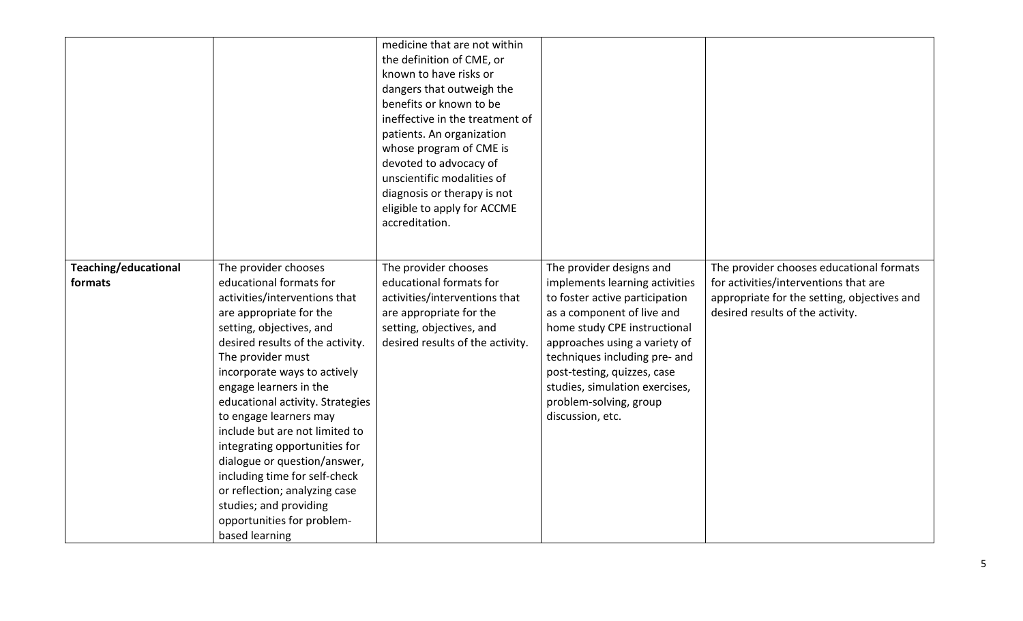|                      |                                                                                                                                                                                                                                                                                                                                                                                                                                                                                                                                                 | medicine that are not within<br>the definition of CME, or<br>known to have risks or<br>dangers that outweigh the<br>benefits or known to be<br>ineffective in the treatment of<br>patients. An organization<br>whose program of CME is<br>devoted to advocacy of<br>unscientific modalities of<br>diagnosis or therapy is not<br>eligible to apply for ACCME<br>accreditation. |                                                                                                                                                                                                                                                                                                                 |                                                                                                                          |
|----------------------|-------------------------------------------------------------------------------------------------------------------------------------------------------------------------------------------------------------------------------------------------------------------------------------------------------------------------------------------------------------------------------------------------------------------------------------------------------------------------------------------------------------------------------------------------|--------------------------------------------------------------------------------------------------------------------------------------------------------------------------------------------------------------------------------------------------------------------------------------------------------------------------------------------------------------------------------|-----------------------------------------------------------------------------------------------------------------------------------------------------------------------------------------------------------------------------------------------------------------------------------------------------------------|--------------------------------------------------------------------------------------------------------------------------|
| Teaching/educational | The provider chooses                                                                                                                                                                                                                                                                                                                                                                                                                                                                                                                            | The provider chooses                                                                                                                                                                                                                                                                                                                                                           | The provider designs and                                                                                                                                                                                                                                                                                        | The provider chooses educational formats                                                                                 |
| formats              | educational formats for<br>activities/interventions that<br>are appropriate for the<br>setting, objectives, and<br>desired results of the activity.<br>The provider must<br>incorporate ways to actively<br>engage learners in the<br>educational activity. Strategies<br>to engage learners may<br>include but are not limited to<br>integrating opportunities for<br>dialogue or question/answer,<br>including time for self-check<br>or reflection; analyzing case<br>studies; and providing<br>opportunities for problem-<br>based learning | educational formats for<br>activities/interventions that<br>are appropriate for the<br>setting, objectives, and<br>desired results of the activity.                                                                                                                                                                                                                            | implements learning activities<br>to foster active participation<br>as a component of live and<br>home study CPE instructional<br>approaches using a variety of<br>techniques including pre- and<br>post-testing, quizzes, case<br>studies, simulation exercises,<br>problem-solving, group<br>discussion, etc. | for activities/interventions that are<br>appropriate for the setting, objectives and<br>desired results of the activity. |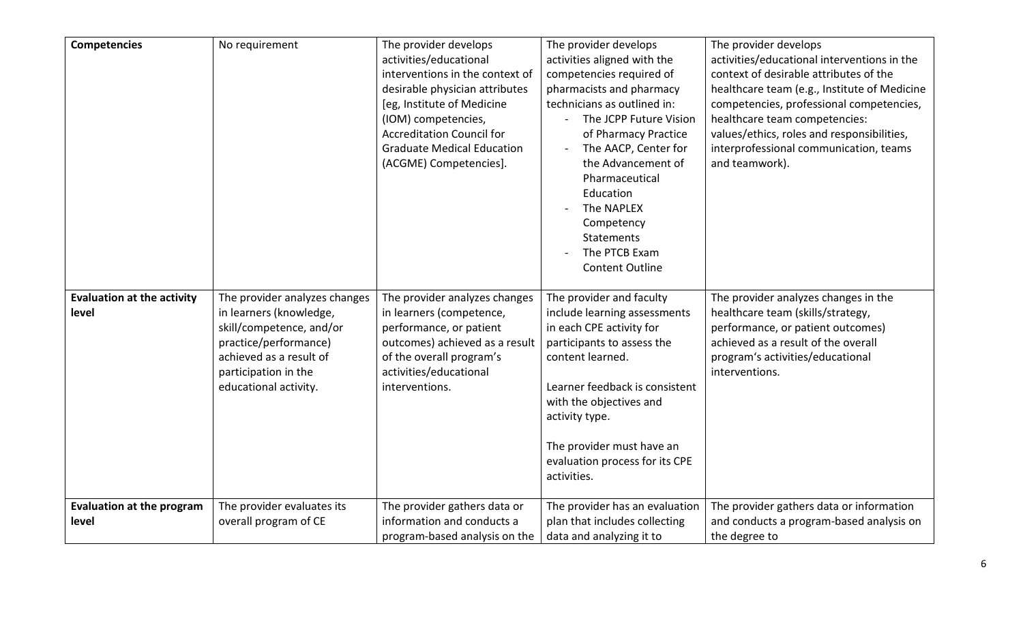| <b>Competencies</b>                        | No requirement                                                                       | The provider develops<br>activities/educational<br>interventions in the context of<br>desirable physician attributes<br>[eg, Institute of Medicine<br>(IOM) competencies,<br><b>Accreditation Council for</b><br><b>Graduate Medical Education</b><br>(ACGME) Competencies]. | The provider develops<br>activities aligned with the<br>competencies required of<br>pharmacists and pharmacy<br>technicians as outlined in:<br>The JCPP Future Vision<br>of Pharmacy Practice<br>The AACP, Center for<br>the Advancement of<br>Pharmaceutical<br>Education<br>The NAPLEX<br>Competency<br><b>Statements</b><br>The PTCB Exam<br><b>Content Outline</b> | The provider develops<br>activities/educational interventions in the<br>context of desirable attributes of the<br>healthcare team (e.g., Institute of Medicine<br>competencies, professional competencies,<br>healthcare team competencies:<br>values/ethics, roles and responsibilities,<br>interprofessional communication, teams<br>and teamwork). |
|--------------------------------------------|--------------------------------------------------------------------------------------|------------------------------------------------------------------------------------------------------------------------------------------------------------------------------------------------------------------------------------------------------------------------------|------------------------------------------------------------------------------------------------------------------------------------------------------------------------------------------------------------------------------------------------------------------------------------------------------------------------------------------------------------------------|-------------------------------------------------------------------------------------------------------------------------------------------------------------------------------------------------------------------------------------------------------------------------------------------------------------------------------------------------------|
| <b>Evaluation at the activity</b><br>level | The provider analyzes changes<br>in learners (knowledge,<br>skill/competence, and/or | The provider analyzes changes<br>in learners (competence,<br>performance, or patient                                                                                                                                                                                         | The provider and faculty<br>include learning assessments<br>in each CPE activity for                                                                                                                                                                                                                                                                                   | The provider analyzes changes in the<br>healthcare team (skills/strategy,<br>performance, or patient outcomes)                                                                                                                                                                                                                                        |
|                                            | practice/performance)<br>achieved as a result of                                     | outcomes) achieved as a result<br>of the overall program's                                                                                                                                                                                                                   | participants to assess the<br>content learned.                                                                                                                                                                                                                                                                                                                         | achieved as a result of the overall<br>program's activities/educational                                                                                                                                                                                                                                                                               |
|                                            | participation in the<br>educational activity.                                        | activities/educational<br>interventions.                                                                                                                                                                                                                                     | Learner feedback is consistent                                                                                                                                                                                                                                                                                                                                         | interventions.                                                                                                                                                                                                                                                                                                                                        |
|                                            |                                                                                      |                                                                                                                                                                                                                                                                              | with the objectives and<br>activity type.                                                                                                                                                                                                                                                                                                                              |                                                                                                                                                                                                                                                                                                                                                       |
|                                            |                                                                                      |                                                                                                                                                                                                                                                                              | The provider must have an<br>evaluation process for its CPE<br>activities.                                                                                                                                                                                                                                                                                             |                                                                                                                                                                                                                                                                                                                                                       |
| <b>Evaluation at the program</b><br>level  | The provider evaluates its<br>overall program of CE                                  | The provider gathers data or<br>information and conducts a<br>program-based analysis on the                                                                                                                                                                                  | The provider has an evaluation<br>plan that includes collecting<br>data and analyzing it to                                                                                                                                                                                                                                                                            | The provider gathers data or information<br>and conducts a program-based analysis on<br>the degree to                                                                                                                                                                                                                                                 |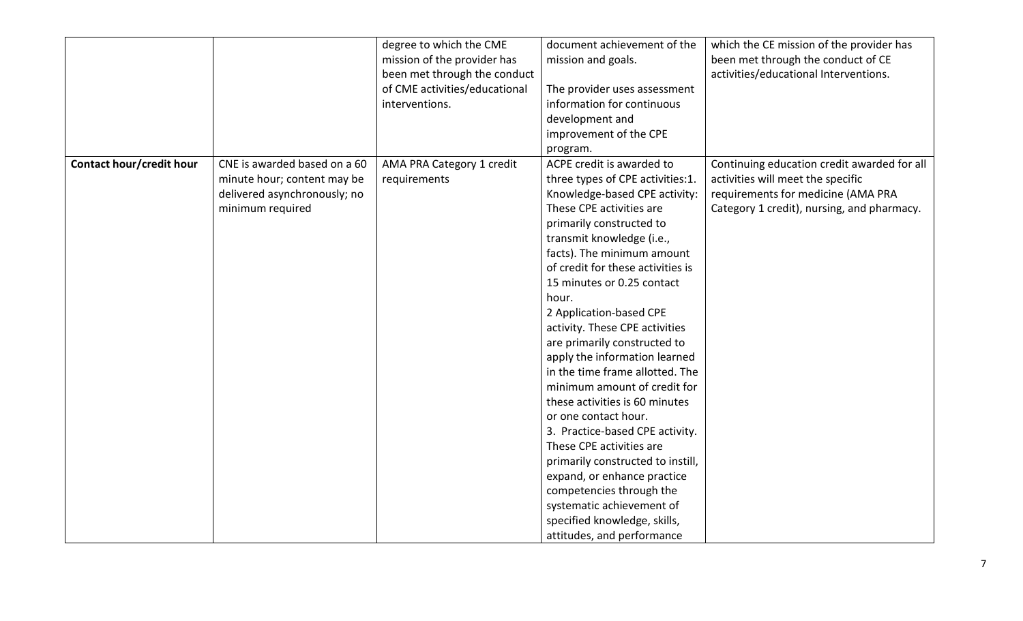|                                 |                              | degree to which the CME       | document achievement of the       | which the CE mission of the provider has    |
|---------------------------------|------------------------------|-------------------------------|-----------------------------------|---------------------------------------------|
|                                 |                              | mission of the provider has   | mission and goals.                | been met through the conduct of CE          |
|                                 |                              | been met through the conduct  |                                   | activities/educational Interventions.       |
|                                 |                              | of CME activities/educational | The provider uses assessment      |                                             |
|                                 |                              | interventions.                | information for continuous        |                                             |
|                                 |                              |                               | development and                   |                                             |
|                                 |                              |                               | improvement of the CPE            |                                             |
|                                 |                              |                               | program.                          |                                             |
| <b>Contact hour/credit hour</b> | CNE is awarded based on a 60 | AMA PRA Category 1 credit     | ACPE credit is awarded to         | Continuing education credit awarded for all |
|                                 | minute hour; content may be  | requirements                  | three types of CPE activities:1.  | activities will meet the specific           |
|                                 | delivered asynchronously; no |                               | Knowledge-based CPE activity:     | requirements for medicine (AMA PRA          |
|                                 | minimum required             |                               | These CPE activities are          | Category 1 credit), nursing, and pharmacy.  |
|                                 |                              |                               | primarily constructed to          |                                             |
|                                 |                              |                               | transmit knowledge (i.e.,         |                                             |
|                                 |                              |                               | facts). The minimum amount        |                                             |
|                                 |                              |                               | of credit for these activities is |                                             |
|                                 |                              |                               | 15 minutes or 0.25 contact        |                                             |
|                                 |                              |                               | hour.                             |                                             |
|                                 |                              |                               | 2 Application-based CPE           |                                             |
|                                 |                              |                               | activity. These CPE activities    |                                             |
|                                 |                              |                               | are primarily constructed to      |                                             |
|                                 |                              |                               | apply the information learned     |                                             |
|                                 |                              |                               | in the time frame allotted. The   |                                             |
|                                 |                              |                               | minimum amount of credit for      |                                             |
|                                 |                              |                               | these activities is 60 minutes    |                                             |
|                                 |                              |                               | or one contact hour.              |                                             |
|                                 |                              |                               | 3. Practice-based CPE activity.   |                                             |
|                                 |                              |                               | These CPE activities are          |                                             |
|                                 |                              |                               | primarily constructed to instill, |                                             |
|                                 |                              |                               | expand, or enhance practice       |                                             |
|                                 |                              |                               | competencies through the          |                                             |
|                                 |                              |                               | systematic achievement of         |                                             |
|                                 |                              |                               | specified knowledge, skills,      |                                             |
|                                 |                              |                               | attitudes, and performance        |                                             |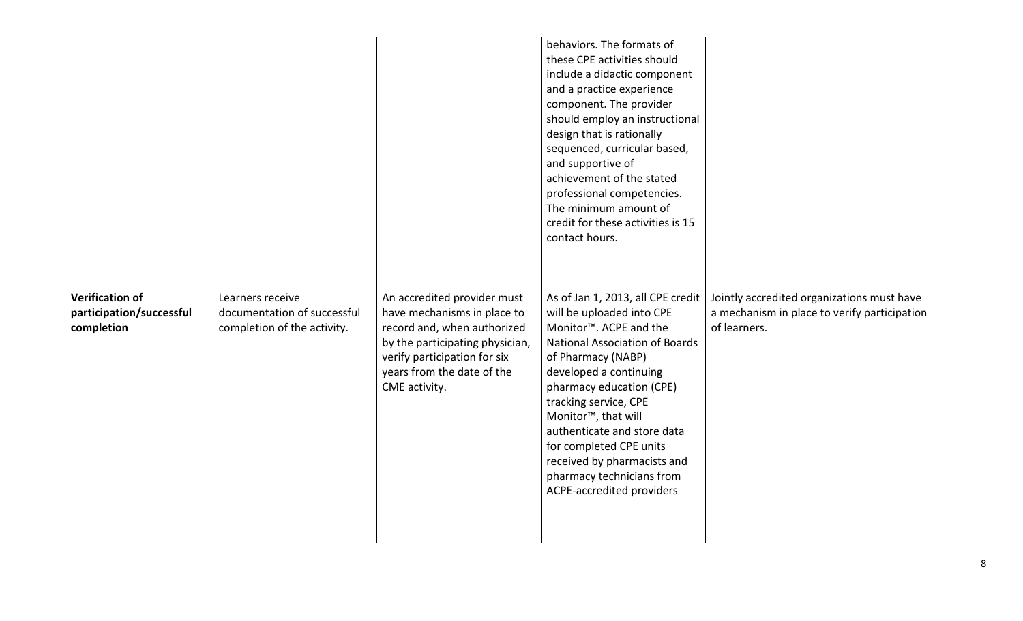|                                                                  |                                                                                |                                                                                                                                                                                                             | behaviors. The formats of<br>these CPE activities should<br>include a didactic component<br>and a practice experience<br>component. The provider<br>should employ an instructional<br>design that is rationally<br>sequenced, curricular based,<br>and supportive of<br>achievement of the stated<br>professional competencies.<br>The minimum amount of<br>credit for these activities is 15<br>contact hours.                            |                                                                                                            |
|------------------------------------------------------------------|--------------------------------------------------------------------------------|-------------------------------------------------------------------------------------------------------------------------------------------------------------------------------------------------------------|--------------------------------------------------------------------------------------------------------------------------------------------------------------------------------------------------------------------------------------------------------------------------------------------------------------------------------------------------------------------------------------------------------------------------------------------|------------------------------------------------------------------------------------------------------------|
| <b>Verification of</b><br>participation/successful<br>completion | Learners receive<br>documentation of successful<br>completion of the activity. | An accredited provider must<br>have mechanisms in place to<br>record and, when authorized<br>by the participating physician,<br>verify participation for six<br>years from the date of the<br>CME activity. | As of Jan 1, 2013, all CPE credit<br>will be uploaded into CPE<br>Monitor <sup>™</sup> . ACPE and the<br><b>National Association of Boards</b><br>of Pharmacy (NABP)<br>developed a continuing<br>pharmacy education (CPE)<br>tracking service, CPE<br>Monitor <sup>™</sup> , that will<br>authenticate and store data<br>for completed CPE units<br>received by pharmacists and<br>pharmacy technicians from<br>ACPE-accredited providers | Jointly accredited organizations must have<br>a mechanism in place to verify participation<br>of learners. |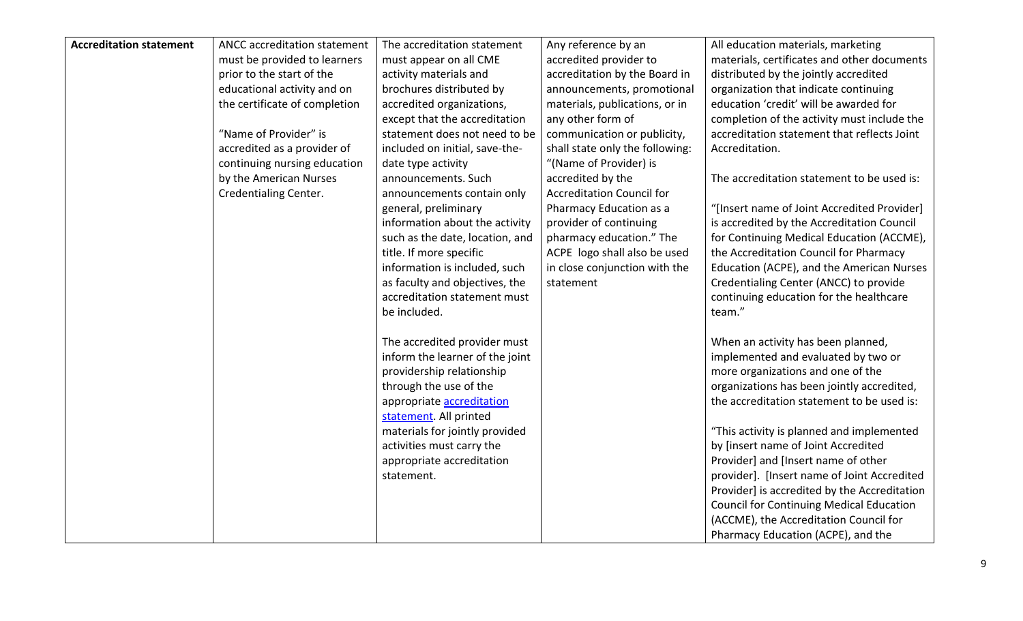| <b>Accreditation statement</b> | ANCC accreditation statement  | The accreditation statement      | Any reference by an              | All education materials, marketing              |
|--------------------------------|-------------------------------|----------------------------------|----------------------------------|-------------------------------------------------|
|                                | must be provided to learners  | must appear on all CME           | accredited provider to           | materials, certificates and other documents     |
|                                | prior to the start of the     | activity materials and           | accreditation by the Board in    | distributed by the jointly accredited           |
|                                | educational activity and on   | brochures distributed by         | announcements, promotional       | organization that indicate continuing           |
|                                | the certificate of completion | accredited organizations,        | materials, publications, or in   | education 'credit' will be awarded for          |
|                                |                               | except that the accreditation    | any other form of                | completion of the activity must include the     |
|                                | "Name of Provider" is         | statement does not need to be    | communication or publicity,      | accreditation statement that reflects Joint     |
|                                | accredited as a provider of   | included on initial, save-the-   | shall state only the following:  | Accreditation.                                  |
|                                | continuing nursing education  | date type activity               | "(Name of Provider) is           |                                                 |
|                                | by the American Nurses        | announcements. Such              | accredited by the                | The accreditation statement to be used is:      |
|                                | Credentialing Center.         | announcements contain only       | <b>Accreditation Council for</b> |                                                 |
|                                |                               | general, preliminary             | Pharmacy Education as a          | "[Insert name of Joint Accredited Provider]     |
|                                |                               | information about the activity   | provider of continuing           | is accredited by the Accreditation Council      |
|                                |                               | such as the date, location, and  | pharmacy education." The         | for Continuing Medical Education (ACCME),       |
|                                |                               | title. If more specific          | ACPE logo shall also be used     | the Accreditation Council for Pharmacy          |
|                                |                               | information is included, such    | in close conjunction with the    | Education (ACPE), and the American Nurses       |
|                                |                               | as faculty and objectives, the   | statement                        | Credentialing Center (ANCC) to provide          |
|                                |                               | accreditation statement must     |                                  | continuing education for the healthcare         |
|                                |                               | be included.                     |                                  | team."                                          |
|                                |                               | The accredited provider must     |                                  | When an activity has been planned,              |
|                                |                               | inform the learner of the joint  |                                  | implemented and evaluated by two or             |
|                                |                               | providership relationship        |                                  | more organizations and one of the               |
|                                |                               | through the use of the           |                                  | organizations has been jointly accredited,      |
|                                |                               | appropriate <b>accreditation</b> |                                  | the accreditation statement to be used is:      |
|                                |                               | statement. All printed           |                                  |                                                 |
|                                |                               | materials for jointly provided   |                                  | "This activity is planned and implemented       |
|                                |                               | activities must carry the        |                                  | by [insert name of Joint Accredited             |
|                                |                               | appropriate accreditation        |                                  | Provider] and [Insert name of other             |
|                                |                               | statement.                       |                                  | provider]. [Insert name of Joint Accredited     |
|                                |                               |                                  |                                  | Provider] is accredited by the Accreditation    |
|                                |                               |                                  |                                  | <b>Council for Continuing Medical Education</b> |
|                                |                               |                                  |                                  | (ACCME), the Accreditation Council for          |
|                                |                               |                                  |                                  | Pharmacy Education (ACPE), and the              |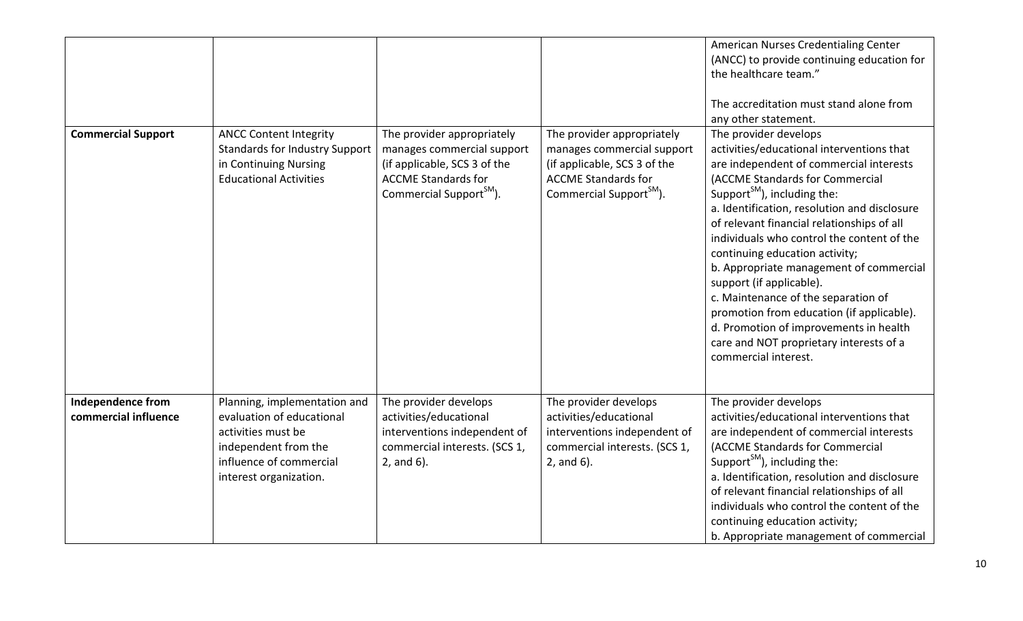|                                           |                                                                                                                                                              |                                                                                                                                                               |                                                                                                                                                               | American Nurses Credentialing Center<br>(ANCC) to provide continuing education for<br>the healthcare team."<br>The accreditation must stand alone from<br>any other statement.                                                                                                                                                                                                                                                                                                                                                                                                                                                                    |
|-------------------------------------------|--------------------------------------------------------------------------------------------------------------------------------------------------------------|---------------------------------------------------------------------------------------------------------------------------------------------------------------|---------------------------------------------------------------------------------------------------------------------------------------------------------------|---------------------------------------------------------------------------------------------------------------------------------------------------------------------------------------------------------------------------------------------------------------------------------------------------------------------------------------------------------------------------------------------------------------------------------------------------------------------------------------------------------------------------------------------------------------------------------------------------------------------------------------------------|
| <b>Commercial Support</b>                 | <b>ANCC Content Integrity</b><br><b>Standards for Industry Support</b><br>in Continuing Nursing<br><b>Educational Activities</b>                             | The provider appropriately<br>manages commercial support<br>(if applicable, SCS 3 of the<br><b>ACCME Standards for</b><br>Commercial Support <sup>SM</sup> ). | The provider appropriately<br>manages commercial support<br>(if applicable, SCS 3 of the<br><b>ACCME Standards for</b><br>Commercial Support <sup>SM</sup> ). | The provider develops<br>activities/educational interventions that<br>are independent of commercial interests<br>(ACCME Standards for Commercial<br>Support <sup>SM</sup> ), including the:<br>a. Identification, resolution and disclosure<br>of relevant financial relationships of all<br>individuals who control the content of the<br>continuing education activity;<br>b. Appropriate management of commercial<br>support (if applicable).<br>c. Maintenance of the separation of<br>promotion from education (if applicable).<br>d. Promotion of improvements in health<br>care and NOT proprietary interests of a<br>commercial interest. |
| Independence from<br>commercial influence | Planning, implementation and<br>evaluation of educational<br>activities must be<br>independent from the<br>influence of commercial<br>interest organization. | The provider develops<br>activities/educational<br>interventions independent of<br>commercial interests. (SCS 1,<br>2, and 6).                                | The provider develops<br>activities/educational<br>interventions independent of<br>commercial interests. (SCS 1,<br>2, and 6).                                | The provider develops<br>activities/educational interventions that<br>are independent of commercial interests<br>(ACCME Standards for Commercial<br>Support <sup>SM</sup> ), including the:<br>a. Identification, resolution and disclosure<br>of relevant financial relationships of all<br>individuals who control the content of the<br>continuing education activity;<br>b. Appropriate management of commercial                                                                                                                                                                                                                              |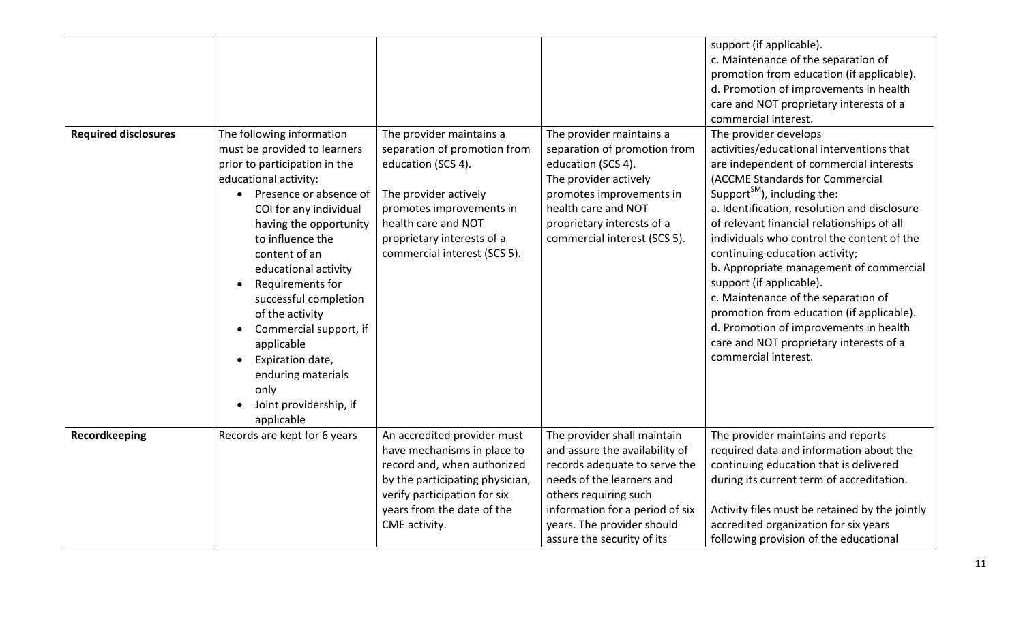| <b>Required disclosures</b> | The following information<br>must be provided to learners<br>prior to participation in the<br>educational activity:<br>Presence or absence of<br>COI for any individual<br>having the opportunity<br>to influence the<br>content of an<br>educational activity<br>Requirements for<br>successful completion<br>of the activity<br>Commercial support, if<br>applicable<br>Expiration date,<br>$\bullet$<br>enduring materials<br>only<br>Joint providership, if<br>applicable | The provider maintains a<br>separation of promotion from<br>education (SCS 4).<br>The provider actively<br>promotes improvements in<br>health care and NOT<br>proprietary interests of a<br>commercial interest (SCS 5). | The provider maintains a<br>separation of promotion from<br>education (SCS 4).<br>The provider actively<br>promotes improvements in<br>health care and NOT<br>proprietary interests of a<br>commercial interest (SCS 5).                            | support (if applicable).<br>c. Maintenance of the separation of<br>promotion from education (if applicable).<br>d. Promotion of improvements in health<br>care and NOT proprietary interests of a<br>commercial interest.<br>The provider develops<br>activities/educational interventions that<br>are independent of commercial interests<br>(ACCME Standards for Commercial<br>Support <sup>SM</sup> ), including the:<br>a. Identification, resolution and disclosure<br>of relevant financial relationships of all<br>individuals who control the content of the<br>continuing education activity;<br>b. Appropriate management of commercial<br>support (if applicable).<br>c. Maintenance of the separation of<br>promotion from education (if applicable).<br>d. Promotion of improvements in health<br>care and NOT proprietary interests of a<br>commercial interest. |
|-----------------------------|-------------------------------------------------------------------------------------------------------------------------------------------------------------------------------------------------------------------------------------------------------------------------------------------------------------------------------------------------------------------------------------------------------------------------------------------------------------------------------|--------------------------------------------------------------------------------------------------------------------------------------------------------------------------------------------------------------------------|-----------------------------------------------------------------------------------------------------------------------------------------------------------------------------------------------------------------------------------------------------|--------------------------------------------------------------------------------------------------------------------------------------------------------------------------------------------------------------------------------------------------------------------------------------------------------------------------------------------------------------------------------------------------------------------------------------------------------------------------------------------------------------------------------------------------------------------------------------------------------------------------------------------------------------------------------------------------------------------------------------------------------------------------------------------------------------------------------------------------------------------------------|
| Recordkeeping               | Records are kept for 6 years                                                                                                                                                                                                                                                                                                                                                                                                                                                  | An accredited provider must<br>have mechanisms in place to<br>record and, when authorized<br>by the participating physician,<br>verify participation for six<br>years from the date of the<br>CME activity.              | The provider shall maintain<br>and assure the availability of<br>records adequate to serve the<br>needs of the learners and<br>others requiring such<br>information for a period of six<br>years. The provider should<br>assure the security of its | The provider maintains and reports<br>required data and information about the<br>continuing education that is delivered<br>during its current term of accreditation.<br>Activity files must be retained by the jointly<br>accredited organization for six years<br>following provision of the educational                                                                                                                                                                                                                                                                                                                                                                                                                                                                                                                                                                      |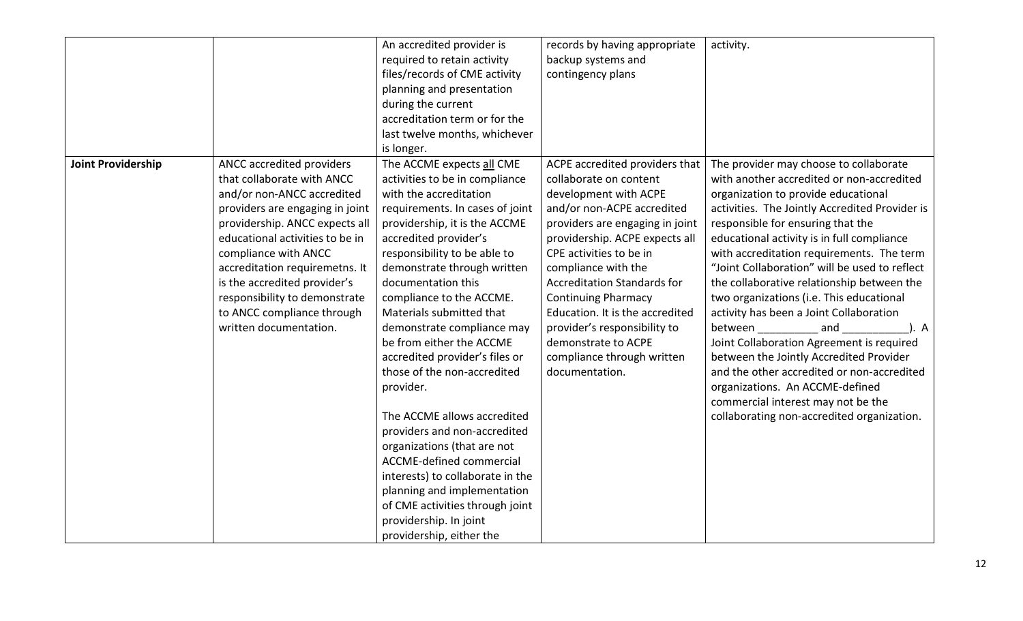|                           |                                 | An accredited provider is        | records by having appropriate      | activity.                                      |
|---------------------------|---------------------------------|----------------------------------|------------------------------------|------------------------------------------------|
|                           |                                 | required to retain activity      | backup systems and                 |                                                |
|                           |                                 | files/records of CME activity    | contingency plans                  |                                                |
|                           |                                 | planning and presentation        |                                    |                                                |
|                           |                                 | during the current               |                                    |                                                |
|                           |                                 | accreditation term or for the    |                                    |                                                |
|                           |                                 | last twelve months, whichever    |                                    |                                                |
|                           |                                 | is longer.                       |                                    |                                                |
| <b>Joint Providership</b> | ANCC accredited providers       | The ACCME expects all CME        | ACPE accredited providers that     | The provider may choose to collaborate         |
|                           | that collaborate with ANCC      | activities to be in compliance   | collaborate on content             | with another accredited or non-accredited      |
|                           | and/or non-ANCC accredited      | with the accreditation           | development with ACPE              | organization to provide educational            |
|                           | providers are engaging in joint | requirements. In cases of joint  | and/or non-ACPE accredited         | activities. The Jointly Accredited Provider is |
|                           | providership. ANCC expects all  | providership, it is the ACCME    | providers are engaging in joint    | responsible for ensuring that the              |
|                           | educational activities to be in | accredited provider's            | providership. ACPE expects all     | educational activity is in full compliance     |
|                           | compliance with ANCC            | responsibility to be able to     | CPE activities to be in            | with accreditation requirements. The term      |
|                           | accreditation requiremetns. It  | demonstrate through written      | compliance with the                | "Joint Collaboration" will be used to reflect  |
|                           | is the accredited provider's    | documentation this               | <b>Accreditation Standards for</b> | the collaborative relationship between the     |
|                           | responsibility to demonstrate   | compliance to the ACCME.         | <b>Continuing Pharmacy</b>         | two organizations (i.e. This educational       |
|                           | to ANCC compliance through      | Materials submitted that         | Education. It is the accredited    | activity has been a Joint Collaboration        |
|                           | written documentation.          | demonstrate compliance may       | provider's responsibility to       | between<br>and<br>). A                         |
|                           |                                 | be from either the ACCME         | demonstrate to ACPE                | Joint Collaboration Agreement is required      |
|                           |                                 | accredited provider's files or   | compliance through written         | between the Jointly Accredited Provider        |
|                           |                                 | those of the non-accredited      | documentation.                     | and the other accredited or non-accredited     |
|                           |                                 | provider.                        |                                    | organizations. An ACCME-defined                |
|                           |                                 |                                  |                                    | commercial interest may not be the             |
|                           |                                 | The ACCME allows accredited      |                                    | collaborating non-accredited organization.     |
|                           |                                 | providers and non-accredited     |                                    |                                                |
|                           |                                 | organizations (that are not      |                                    |                                                |
|                           |                                 | <b>ACCME-defined commercial</b>  |                                    |                                                |
|                           |                                 | interests) to collaborate in the |                                    |                                                |
|                           |                                 | planning and implementation      |                                    |                                                |
|                           |                                 | of CME activities through joint  |                                    |                                                |
|                           |                                 | providership. In joint           |                                    |                                                |
|                           |                                 | providership, either the         |                                    |                                                |